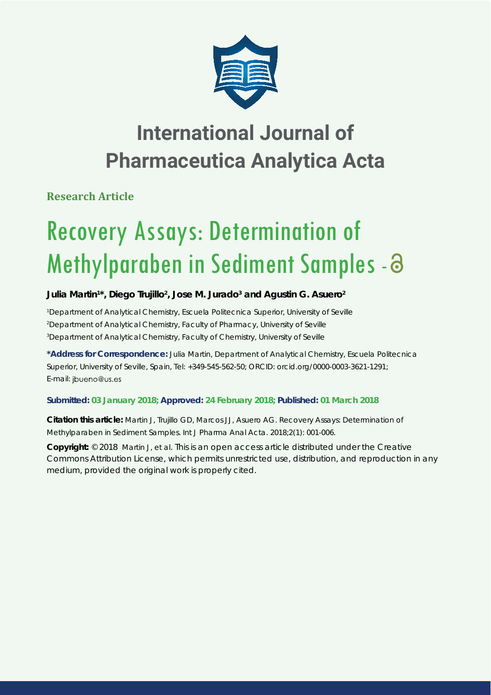

# **International Journal of Pharmaceutica Analytica Acta**

**Research Article**

# Recovery Assays: Determination of Methylparaben in Sediment Samples - a

## Julia Martin<sup>1\*</sup>, Diego Trujillo<sup>2</sup>, Jose M. Jurado<sup>3</sup> and Agustin G. Asuero<sup>2</sup>

*1 Department of Analytical Chemistry, Escuela Politecnica Superior, University of Seville 2 Department of Analytical Chemistry, Faculty of Pharmacy, University of Seville 3 Department of Analytical Chemistry, Faculty of Chemistry, University of Seville*

**\*Address for Correspondence:** Julia Martin, Department of Analytical Chemistry, Escuela Politecnica Superior, University of Seville, Spain, Tel: +349-545-562-50; ORCID: orcid.org/0000-0003-3621-1291; E-mail: jbueno@us.es

### **Submitted: 03 January 2018; Approved: 24 February 2018; Published: 01 March 2018**

**Citation this article:** Martin J, Trujillo GD, Marcos JJ, Asuero AG. Recovery Assays: Determination of Methylparaben in Sediment Samples. Int J Pharma Anal Acta. 2018;2(1): 001-006.

**Copyright:** © 2018 Martin J, et al. This is an open access article distributed under the Creative Commons Attribution License, which permits unrestricted use, distribution, and reproduction in any medium, provided the original work is properly cited.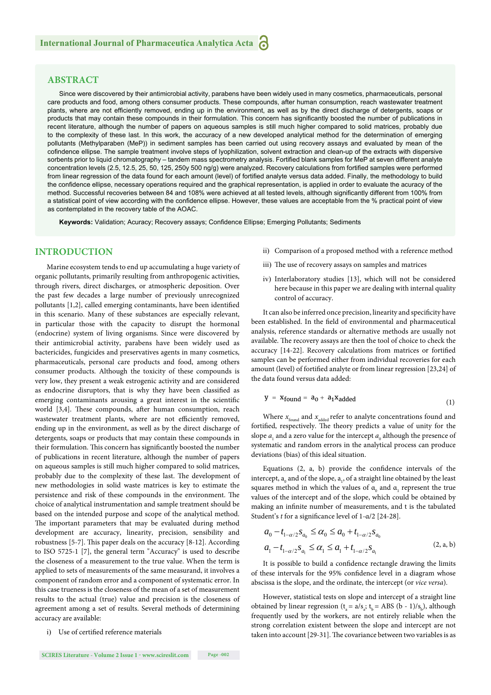#### **ABSTRACT**

Since were discovered by their antimicrobial activity, parabens have been widely used in many cosmetics, pharmaceuticals, personal care products and food, among others consumer products. These compounds, after human consumption, reach wastewater treatment plants, where are not efficiently removed, ending up in the environment, as well as by the direct discharge of detergents, soaps or products that may contain these compounds in their formulation. This concern has significantly boosted the number of publications in recent literature, although the number of papers on aqueous samples is still much higher compared to solid matrices, probably due to the complexity of these last. In this work, the accuracy of a new developed analytical method for the determination of emerging pollutants (Methylparaben (MeP)) in sediment samples has been carried out using recovery assays and evaluated by mean of the cofindence ellipse. The sample treatment involve steps of lyophilization, solvent extraction and clean-up of the extracts with dispersive sorbents prior to liquid chromatography – tandem mass spectrometry analysis. Fortified blank samples for MeP at seven different analyte concentration levels (2.5, 12.5, 25, 50, 125, 250y 500 ng/g) were analyzed. Recovery calculations from fortified samples were performed from linear regression of the data found for each amount (level) of fortified analyte versus data added. Finally, the methodology to build the confidence ellipse, necessary operations required and the graphical representation, is applied in order to evaluate the acuracy of the method. Successful recoveries between 84 and 108% were achieved at all tested levels, although significantly different from 100% from a statistical point of view according with the confidence ellipse. However, these values are acceptable from the % practical point of view as contemplated in the recovery table of the AOAC.

Keywords: Validation; Acuracy; Recovery assays; Confidence Ellipse; Emerging Pollutants; Sediments

#### **INTRODUCTION**

Marine ecosystem tends to end up accumulating a huge variety of organic pollutants, primarily resulting from anthropogenic activities, through rivers, direct discharges, or atmospheric deposition. Over the past few decades a large number of previously unrecognized pollutants [1,2], called emerging contaminants, have been identified in this scenario. Many of these substances are especially relevant, in particular those with the capacity to disrupt the hormonal (endocrine) system of living organisms. Since were discovered by their antimicrobial activity, parabens have been widely used as bactericides, fungicides and preservatives agents in many cosmetics, pharmaceuticals, personal care products and food, among others consumer products. Although the toxicity of these compounds is very low, they present a weak estrogenic activity and are considered as endocrine disruptors, that is why they have been classified as emerging contaminants arousing a great interest in the scientific world [3,4]. These compounds, after human consumption, reach wastewater treatment plants, where are not efficiently removed, ending up in the environment, as well as by the direct discharge of detergents, soaps or products that may contain these compounds in their formulation. This concern has significantly boosted the number of publications in recent literature, although the number of papers on aqueous samples is still much higher compared to solid matrices, probably due to the complexity of these last. The development of new methodologies in solid waste matrices is key to estimate the persistence and risk of these compounds in the environment. The choice of analytical instrumentation and sample treatment should be based on the intended purpose and scope of the analytical method. The important parameters that may be evaluated during method development are accuracy, linearity, precision, sensibility and robustness  $[5-7]$ . This paper deals on the accuracy  $[8-12]$ . According to ISO 5725-1 [7], the general term "Accuracy" is used to describe the closeness of a measurement to the true value. When the term is applied to sets of measurements of the same measurand, it involves a component of random error and a component of systematic error. In this case trueness is the closeness of the mean of a set of measurement results to the actual (true) value and precision is the closeness of agreement among a set of results. Several methods of determining accuracy are available:

i) Use of certified reference materials

- ii) Comparison of a proposed method with a reference method
- iii) The use of recovery assays on samples and matrices
- iv) Interlaboratory studies [13], which will not be considered here because in this paper we are dealing with internal quality control of accuracy.

It can also be inferred once precision, linearity and specificity have been established. In the field of environmental and pharmaceutical analysis, reference standards or alternative methods are usually not available. The recovery assays are then the tool of choice to check the accuracy [14-22]. Recovery calculations from matrices or fortified samples can be performed either from individual recoveries for each amount (level) of fortified analyte or from linear regression [23,24] of the data found versus data added:

$$
y = x_{found} = a_0 + a_1 x_{added}
$$
 (1)

Where  $x_{\rm{found}}$  and  $x_{\rm{added}}$  refer to analyte concentrations found and fortified, respectively. The theory predicts a value of unity for the slope  $a_1$  and a zero value for the intercept  $a_0$  although the presence of systematic and random errors in the analytical process can produce deviations (bias) of this ideal situation.

Equations  $(2, a, b)$  provide the confidence intervals of the intercept,  $a_0$  and of the slope,  $a_1$ , of a straight line obtained by the least squares method in which the values of  $a_0$  and  $a_1$  represent the true values of the intercept and of the slope, which could be obtained by making an infinite number of measurements, and t is the tabulated Student's *t* for a significance level of 1-α/2 [24-28].

$$
a_0 - t_{1-\alpha/2} s_{a_0} \le \alpha_0 \le a_0 + t_{1-\alpha/2} s_{a_0}
$$
  
\n
$$
a_1 - t_{1-\alpha/2} s_{a_1} \le \alpha_1 \le a_1 + t_{1-\alpha/2} s_{a_1}
$$
 (2, a, b)

It is possible to build a confidence rectangle drawing the limits of these intervals for the 95% confidence level in a diagram whose abscissa is the slope, and the ordinate, the intercept (or *vice versa*).

However, statistical tests on slope and intercept of a straight line obtained by linear regression ( $t_a = a/s_a$ ;  $t_b = ABS (b - 1)/s_b$ ), although frequently used by the workers, are not entirely reliable when the strong correlation existent between the slope and intercept are not taken into account [29-31]. The covariance between two variables is as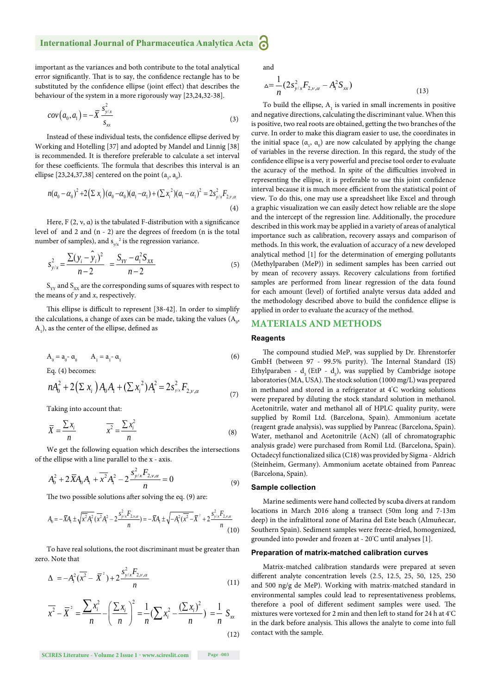#### **International Journal of Pharmaceutica Analytica Acta** 6

important as the variances and both contribute to the total analytical error significantly. That is to say, the confidence rectangle has to be substituted by the confidence ellipse (joint effect) that describes the behaviour of the system in a more rigorously way [23,24,32-38].

$$
cov(a_0, a_1) = -\overline{X} \frac{s_{y/x}^2}{s_{xx}}
$$
\n(3)

Instead of these individual tests, the confidence ellipse derived by Working and Hotelling [37] and adopted by Mandel and Linnig [38] is recommended. It is therefore preferable to calculate a set interval for these coefficients. The formula that describes this interval is an ellipse [23,24,37,38] centered on the point  $(a_1, a_0)$ .

$$
n(a_0 - \alpha_0)^2 + 2(\sum x_i)(a_0 - \alpha_0)(a_1 - \alpha_1) + (\sum x_i^2)(a_1 - \alpha_1)^2 = 2s_{y/x}^2 F_{2,y,\alpha}
$$
\n(4)

Here,  $F(2, \nu, \alpha)$  is the tabulated F-distribution with a significance level of and 2 and (n - 2) are the degrees of freedom (n is the total number of samples), and  $s_{y/x}^2$  is the regression variance.

$$
s_{y/x}^2 = \frac{\sum (y_i - \hat{y}_i)^2}{n-2} = \frac{S_{YY} - a_1^2 S_{XX}}{n-2}
$$
 (5)

 $\mathbf{S}_{\text{vv}}$  and  $\mathbf{S}_{\text{xx}}$  are the corresponding sums of squares with respect to the means of *y* and *x*, respectively.

This ellipse is difficult to represent [38-42]. In order to simplify the calculations, a change of axes can be made, taking the values  $(A_{0},$  $A_1$ ), as the center of the ellipse, defined as

$$
A_0 = a_0 - \alpha_0 \qquad A_1 = a_1 - \alpha_1 \tag{6}
$$

Eq. (4) becomes:

$$
nA_0^2 + 2(\Sigma x_i)A_0A_1 + (\Sigma x_i^2)A_1^2 = 2s_{y.x}^2F_{2,v,\alpha}
$$
 (7)

Taking into account that:

$$
\overline{X} = \frac{\sum x_i}{n} \qquad \qquad \overline{x^2} = \frac{\sum x_i^2}{n} \tag{8}
$$

We get the following equation which describes the intersections of the ellipse with a line parallel to the x - axis.

$$
A_0^2 + 2\overline{X}A_0A_1 + \overline{x^2}A_1^2 - 2\frac{s_{y/x}^2F_{2,y,\alpha}}{n} = 0
$$
\n(9)

The two possible solutions after solving the eq. (9) are:

$$
A_0 = -\overline{X}A_1 \pm \sqrt{\overline{x^2}A_1^2} \overline{(x^2A_1^2 - 2\frac{s_{y/x}^2 F_{2,y,\alpha}}{n})} = -\overline{X}A_1 \pm \sqrt{-A_1^2(\overline{x^2} - \overline{X}^2)} + 2\frac{s_{y/x}^2 F_{2,y,\alpha}}{n}
$$
(10)

To have real solutions, the root discriminant must be greater than zero. Note that

$$
\Delta = -A_1^2(\overline{x^2} - \overline{X}^2) + 2\frac{s_{y/x}^2 F_{2,y,\alpha}}{n}
$$
\n(11)

$$
\overline{x^2} - \overline{X}^2 = \frac{\sum x_i^2}{n} - \left(\frac{\sum x_i}{n}\right)^2 = \frac{1}{n} \left(\sum x_i^2 - \frac{(\sum x_i)^2}{n}\right) = \frac{1}{n} S_{xx}
$$
\n(12)

**SCIRES Literature - Volume 2 Issue 1 - www.scireslit.com Page -003**

and

$$
\Delta = \frac{1}{n} (2s_{y/x}^2 F_{2,v,\alpha} - A_1^2 S_{xx})
$$
\n(13)

To build the ellipse,  $A_1$  is varied in small increments in positive and negative directions, calculating the discriminant value. When this is positive, two real roots are obtained, getting the two branches of the curve. In order to make this diagram easier to use, the coordinates in the initial space  $(\alpha_1, \alpha_0)$  are now calculated by applying the change of variables in the reverse direction. In this regard, the study of the confidence ellipse is a very powerful and precise tool order to evaluate the acuracy of the method. In spite of the difficulties involved in representing the ellipse, it is preferable to use this joint confidence interval because it is much more efficient from the statistical point of view. To do this, one may use a spreadsheet like Excel and through a graphic visualization we can easily detect how reliable are the slope and the intercept of the regression line. Additionally, the procedure described in this work may be applied in a variety of areas of analytical importance such as calibration, recovery assays and comparison of methods. In this work, the evaluation of accuracy of a new developed analytical method [1] for the determination of emerging pollutants (Methylparaben (MeP)) in sediment samples has been carried out by mean of recovery assays. Recovery calculations from fortified samples are performed from linear regression of the data found for each amount (level) of fortified analyte versus data added and the methodology described above to build the confidence ellipse is applied in order to evaluate the acuracy of the method.

#### **MATERIALS AND METHODS**

#### **Reagents**

The compound studied MeP, was supplied by Dr. Ehrenstorfer GmbH (between 97 - 99.5% purity). The Internal Standard (IS) Ethylparaben -  $d_s$  (EtP -  $d_s$ ), was supplied by Cambridge isotope laboratories (MA, USA). The stock solution (1000 mg/L) was prepared in methanol and stored in a refrigerator at 4° C working solutions were prepared by diluting the stock standard solution in methanol. Acetonitrile, water and methanol all of HPLC quality purity, were supplied by Romil Ltd. (Barcelona, Spain). Ammonium acetate (reagent grade analysis), was supplied by Panreac (Barcelona, Spain). Water, methanol and Acetonitrile (AcN) (all of chromatographic analysis grade) were purchased from Romil Ltd. (Barcelona, Spain). Octadecyl functionalized silica (C18) was provided by Sigma - Aldrich (Steinheim, Germany). Ammonium acetate obtained from Panreac (Barcelona, Spain).

#### **Sample collection**

Marine sediments were hand collected by scuba divers at random locations in March 2016 along a transect (50m long and 7-13m deep) in the infralittoral zone of Marina del Este beach (Almuñecar, Southern Spain). Sediment samples were freeze-dried, homogenized, grounded into powder and frozen at - 20º C until analyses [1].

#### **Preparation of matrix-matched calibration curves**

Matrix-matched calibration standards were prepared at seven different analyte concentration levels (2.5, 12.5, 25, 50, 125, 250 and 500 ng/g de MeP). Working with matrix-matched standard in environmental samples could lead to representativeness problems, therefore a pool of different sediment samples were used. The mixtures were vortexed for 2 min and then left to stand for 24 h at  $4^{\circ}$ C in the dark before analysis. This allows the analyte to come into full contact with the sample.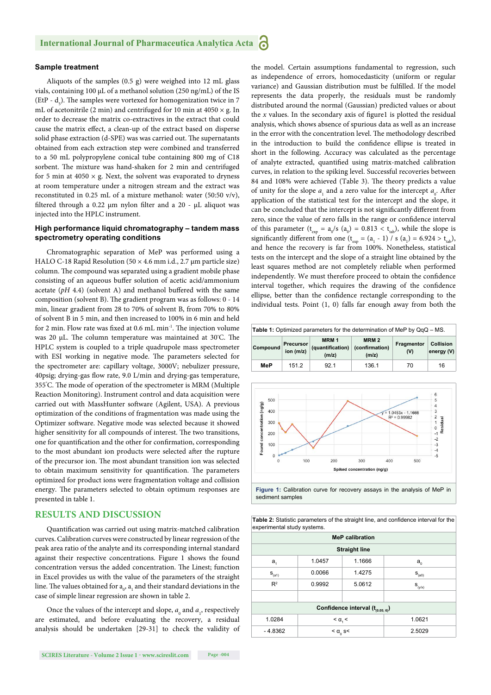#### **Sample treatment**

Aliquots of the samples (0.5 g) were weighed into 12 mL glass vials, containing 100 μL of a methanol solution (250 ng/mL) of the IS (EtP -  $d_s$ ). The samples were vortexed for homogenization twice in 7 mL of acetonitrile (2 min) and centrifuged for 10 min at  $4050 \times g$ . In order to decrease the matrix co-extractives in the extract that could cause the matrix effect, a clean-up of the extract based on disperse solid phase extraction (d-SPE) was was carried out. The supernatants obtained from each extraction step were combined and transferred to a 50 mL polypropylene conical tube containing 800 mg of C18 sorbent. The mixture was hand-shaken for 2 min and centrifuged for 5 min at 4050  $\times$  g. Next, the solvent was evaporated to dryness at room temperature under a nitrogen stream and the extract was reconstituted in 0.25 mL of a mixture methanol: water (50:50 v/v), filtered through a 0.22 μm nylon filter and a 20 - μL aliquot was injected into the HPLC instrument.

#### **High performance liquid chromatography – tandem mass spectrometry operating conditions**

Chromatographic separation of MeP was performed using a HALO C-18 Rapid Resolution ( $50 \times 4.6$  mm i.d., 2.7 µm particle size) column. The compound was separated using a gradient mobile phase consisting of an aqueous buffer solution of acetic acid/ammonium acetate  $(pH 4.4)$  (solvent A) and methanol buffered with the same composition (solvent B). The gradient program was as follows: 0 - 14 min, linear gradient from 28 to 70% of solvent B, from 70% to 80% of solvent B in 5 min, and then increased to 100% in 6 min and held for 2 min. Flow rate was fixed at 0.6 mL min<sup>-1</sup>. The injection volume was 20 μL. The column temperature was maintained at 30°C. The HPLC system is coupled to a triple quadrupole mass spectrometer with ESI working in negative mode. The parameters selected for the spectrometer are: capillary voltage, 3000V; nebulizer pressure, 40psig; drying-gas flow rate, 9.0 L/min and drying-gas temperature, 355°C. The mode of operation of the spectrometer is MRM (Multiple Reaction Monitoring). Instrument control and data acquisition were carried out with MassHunter software (Agilent, USA). A previous optimization of the conditions of fragmentation was made using the Optimizer software. Negative mode was selected because it showed higher sensitivity for all compounds of interest. The two transitions, one for quantification and the other for confirmation, corresponding to the most abundant ion products were selected after the rupture of the precursor ion. The most abundant transition ion was selected to obtain maximum sensitivity for quantification. The parameters optimized for product ions were fragmentation voltage and collision energy. The parameters selected to obtain optimum responses are presented in table 1.

#### **RESULTS AND DISCUSSION**

Quantification was carried out using matrix-matched calibration curves. Calibration curves were constructed by linear regression of the peak area ratio of the analyte and its corresponding internal standard against their respective concentrations. Figure 1 shows the found concentration versus the added concentration. The Linest; function in Excel provides us with the value of the parameters of the straight line. The values obtained for  $\mathbf{a}_0$  ,  $\mathbf{a}_1$  and their standard deviations in the case of simple linear regression are shown in table 2.

Once the values of the intercept and slope,  $a_0$  and  $a_1$ , respectively are estimated, and before evaluating the recovery, a residual analysis should be undertaken [29-31] to check the validity of

**SCIRES Literature - Volume 2 Issue 1 - www.scireslit.com Page -004**

the model. Certain assumptions fundamental to regression, such as independence of errors, homocedasticity (uniform or regular variance) and Gaussian distribution must be fulfilled. If the model represents the data properly, the residuals must be randomly distributed around the normal (Gaussian) predicted values or about the  $x$  values. In the secondary axis of figure1 is plotted the residual analysis, which shows absence of spurious data as well as an increase in the error with the concentration level. The methodology described in the introduction to build the confidence ellipse is treated in short in the following. Accuracy was calculated as the percentage of analyte extracted, quantified using matrix-matched calibration curves, in relation to the spiking level. Successful recoveries between 84 and 108% were achieved (Table 3). The theory predicts a value of unity for the slope  $a_1$  and a zero value for the intercept  $a_0$ . After application of the statistical test for the intercept and the slope, it can be concluded that the intercept is not significantly different from zero, since the value of zero falls in the range or confidence interval of this parameter ( $t_{exp} = a_0 / s$  ( $a_0$ ) = 0.813 <  $t_{lab}$ ), while the slope is significantly different from one ( $t_{exp} = (a_1 - 1) / s (a_1) = 6.924 > t_{lab}$ ), and hence the recovery is far from 100%. Nonetheless, statistical tests on the intercept and the slope of a straight line obtained by the least squares method are not completely reliable when performed independently. We must therefore proceed to obtain the confidence interval together, which requires the drawing of the confidence ellipse, better than the confidence rectangle corresponding to the individual tests. Point (1, 0) falls far enough away from both the







Table 2: Statistic parameters of the straight line, and confidence interval for the experimental study systems.

| <b>MeP calibration</b>                |                                 |        |             |  |  |  |  |
|---------------------------------------|---------------------------------|--------|-------------|--|--|--|--|
| <b>Straight line</b>                  |                                 |        |             |  |  |  |  |
| $a_{1}$                               | 1.0457                          | 1.1666 | $a_{0}$     |  |  |  |  |
| $S_{(a1)}$                            | 0.0066                          | 1.4275 | $S_{(a0)}$  |  |  |  |  |
| $R^2$                                 | 0.9992                          | 5.0612 | $S_{(y/x)}$ |  |  |  |  |
|                                       |                                 |        |             |  |  |  |  |
| Confidence interval $(t_{(0.05; 6)})$ |                                 |        |             |  |  |  |  |
| 1.0284                                | $< \alpha$ , $<$                |        | 1.0621      |  |  |  |  |
| $-4.8362$                             | $<$ $\alpha$ <sub>0</sub> s $<$ |        | 2.5029      |  |  |  |  |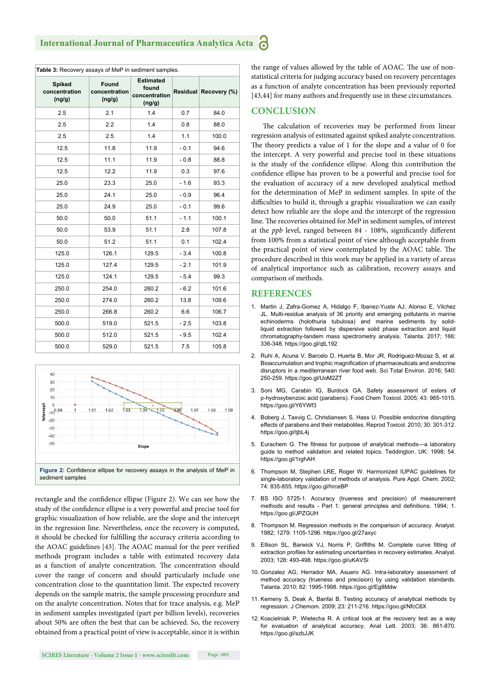| Table 3: Recovery assays of MeP in sediment samples. |                                  |                                                      |        |                       |  |  |
|------------------------------------------------------|----------------------------------|------------------------------------------------------|--------|-----------------------|--|--|
| <b>Spiked</b><br>concentration<br>(ng/g)             | Found<br>concentration<br>(ng/g) | <b>Estimated</b><br>found<br>concentration<br>(ng/g) |        | Residual Recovery (%) |  |  |
| 2.5                                                  | 2.1                              | 1.4                                                  | 0.7    | 84.0                  |  |  |
| 2.5                                                  | 2.2                              | 1.4                                                  | 0.8    | 88.0                  |  |  |
| 2.5                                                  | 2.5                              | 1.4                                                  | 1.1    | 100.0                 |  |  |
| 12.5                                                 | 11.8                             | 11.9                                                 | $-0.1$ | 94.6                  |  |  |
| 12.5                                                 | 11.1                             | 11.9                                                 | $-0.8$ | 88.8                  |  |  |
| 12.5                                                 | 12.2                             | 11.9                                                 | 0.3    | 97.6                  |  |  |
| 25.0                                                 | 23.3                             | 25.0                                                 | $-1.6$ | 93.3                  |  |  |
| 25.0                                                 | 24.1                             | 25.0                                                 | $-0.9$ | 96.4                  |  |  |
| 25.0                                                 | 24.9                             | 25.0                                                 | $-0.1$ | 99.6                  |  |  |
| 50.0                                                 | 50.0                             | 51.1                                                 | $-1.1$ | 100.1                 |  |  |
| 50.0                                                 | 53.9                             | 51.1                                                 | 2.8    | 107.8                 |  |  |
| 50.0                                                 | 51.2                             | 51.1                                                 | 0.1    | 102.4                 |  |  |
| 125.0                                                | 126.1                            | 129.5                                                | $-3.4$ | 100.8                 |  |  |
| 125.0                                                | 127.4                            | 129.5                                                | $-2.1$ | 101.9                 |  |  |
| 125.0                                                | 124.1                            | 129.5                                                | $-5.4$ | 99.3                  |  |  |
| 250.0                                                | 254.0                            | 260.2                                                | $-6.2$ | 101.6                 |  |  |
| 250.0                                                | 274.0                            | 260.2                                                | 13.8   | 109.6                 |  |  |
| 250.0                                                | 266.8                            | 260.2                                                | 6.6    | 106.7                 |  |  |
| 500.0                                                | 519.0                            | 521.5                                                | $-2.5$ | 103.8                 |  |  |
| 500.0                                                | 512.0                            | 521.5                                                | $-9.5$ | 102.4                 |  |  |
| 500.0                                                | 529.0                            | 521.5                                                | 7.5    | 105.8                 |  |  |



rectangle and the confidence ellipse (Figure 2). We can see how the study of the confidence ellipse is a very powerful and precise tool for graphic visualization of how reliable, are the slope and the intercept in the regression line. Nevertheless, once the recovery is computed, it should be checked for fulfilling the accuracy criteria according to the AOAC guidelines [43]. The AOAC manual for the peer verified methods program includes a table with estimated recovery data as a function of analyte concentration. The concentration should cover the range of concern and should particularly include one concentration close to the quantitation limit. The expected recovery depends on the sample matrix, the sample processing procedure and on the analyte concentration. Notes that for trace analysis, e.g. MeP in sediment samples investigated (part per billion levels), recoveries about 50% are often the best that can be achieved. So, the recovery obtained from a practical point of view is acceptable, since it is within the range of values allowed by the table of AOAC. The use of nonstatistical criteria for judging accuracy based on recovery percentages as a function of analyte concentration has been previously reported [43,44] for many authors and frequently use in these circumstances.

#### **CONCLUSION**

The calculation of recoveries may be performed from linear regression analysis of estimated against spiked analyte concentration. The theory predicts a value of 1 for the slope and a value of 0 for the intercept. A very powerful and precise tool in these situations is the study of the confidence ellipse. Along this contribution the confidence ellipse has proven to be a powerful and precise tool for the evaluation of accuracy of a new developed analytical method for the determination of MeP in sediment samples. In spite of the difficulties to build it, through a graphic visualization we can easily detect how reliable are the slope and the intercept of the regression line. The recoveries obtained for MeP in sediment samples, of interest at the *ppb* level, ranged between 84 - 108%, significantly different from 100% from a statistical point of view although acceptable from the practical point of view contemplated by the AOAC table. The procedure described in this work may be applied in a variety of areas of analytical importance such as calibration, recovery assays and comparison of methods.

#### **REFERENCES**

- 1. Martin J, Zafra-Gomez A, Hidalgo F, Ibanez-Yuste AJ, Alonso E, Vilchez JL. Multi-residue analysis of 36 priority and emerging pollutants in marine echinoderms (holothuria tubulosa) and marine sediments by solidliquid extraction followed by dispersive solid phase extraction and liquid chromatography-tandem mass spectrometry analysis. Talanta. 2017; 166: 336-348. https://goo.gl/qtL192
- 2. Ruhi A, Acuna V, Barcelo D, Huerta B, Mor JR, Rodriguez-Mozaz S, et al. Bioaccumulation and trophic magnification of pharmaceuticals and endocrine disruptors in a mediterranean river food web. Sci Total Environ. 2016; 540: 250-259. https://goo.gl/UoM2ZT
- 3. Soni MG, Carabin IG, Burdock GA. Safety assessment of esters of p-hydroxybenzoic acid (parabens). Food Chem Toxicol. 2005; 43: 985-1015. https://goo.gl/Y6YWf3
- 4. Boberg J, Taxvig C, Christiansen S, Hass U. Possible endocrine disrupting effects of parabens and their metabolites. Reprod Toxicol. 2010; 30: 301-312. https://goo.gl/tjbL4j
- 5. Eurachem G. The fitness for purpose of analytical methods-a laboratory guide to method validation and related topics. Teddington. UK: 1998; 54. https://goo.gl/1rghAH
- 6. Thompson M, Stephen LRE, Roger W. Harmonized IUPAC guidelines for single-laboratory validation of methods of analysis. Pure Appl. Chem. 2002; 74: 835-855. https://goo.gl/hrceBP
- 7. BS ISO 5725-1. Accuracy (trueness and precision) of measurement methods and results - Part 1: general principles and definitions. 1994; 1. https://goo.gl/JPZGUH
- 8. Thompson M. Regression methods in the comparison of accuracy. Analyst. 1982; 1279: 1105-1296. https://goo.gl/27axyc
- 9. Ellison SL, Barwick VJ, Norris P, Griffiths M, Complete curve fitting of extraction profiles for estimating uncertainties in recovery estimates. Analyst. 2003; 128: 493-498. https://goo.gl/uKAVSi
- 10. Gonzalez AG, Herrador MA, Asuero AG. Intra-laboratory assessment of method accuracy (trueness and precision) by using validation standards. Talanta. 2010; 82: 1995-1998. https://goo.gl/Eg8Mdw
- 11. Kemeny S, Deak A, Banfai B. Testing accuracy of analytical methods by regression. J Chemom. 2009; 23: 211-216. https://goo.gl/NfcC6X
- 12. Koscielniak P, Wietecha R. A critical look at the recovery test as a way for evaluation of analytical accuracy. Anal Lett. 2003; 36: 861-870. https://goo.gl/szbJJK